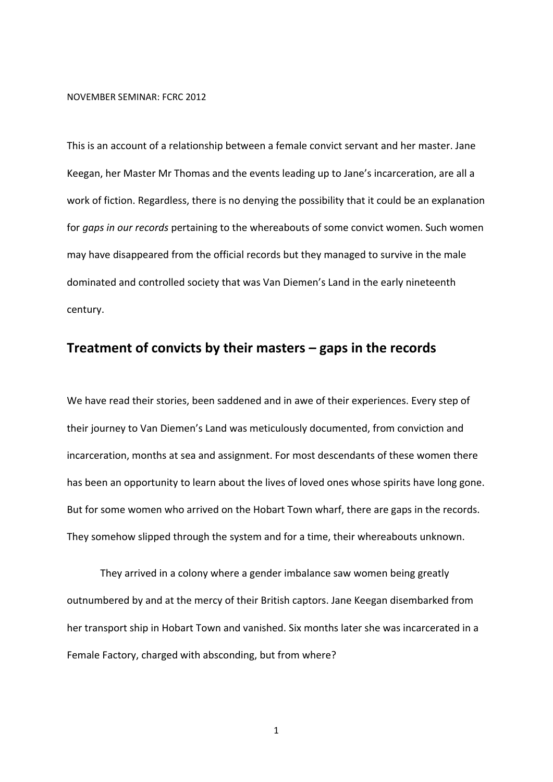## NOVEMBER SEMINAR: FCRC 2012

This is an account of a relationship between a female convict servant and her master. Jane Keegan, her Master Mr Thomas and the events leading up to Jane's incarceration, are all a work of fiction. Regardless, there is no denying the possibility that it could be an explanation for *gaps in our records* pertaining to the whereabouts of some convict women. Such women may have disappeared from the official records but they managed to survive in the male dominated and controlled society that was Van Diemen's Land in the early nineteenth century.

## **Treatment of convicts by their masters – gaps in the records**

We have read their stories, been saddened and in awe of their experiences. Every step of their journey to Van Diemen's Land was meticulously documented, from conviction and incarceration, months at sea and assignment. For most descendants of these women there has been an opportunity to learn about the lives of loved ones whose spirits have long gone. But for some women who arrived on the Hobart Town wharf, there are gaps in the records. They somehow slipped through the system and for a time, their whereabouts unknown.

They arrived in a colony where a gender imbalance saw women being greatly outnumbered by and at the mercy of their British captors. Jane Keegan disembarked from her transport ship in Hobart Town and vanished. Six months later she was incarcerated in a Female Factory, charged with absconding, but from where?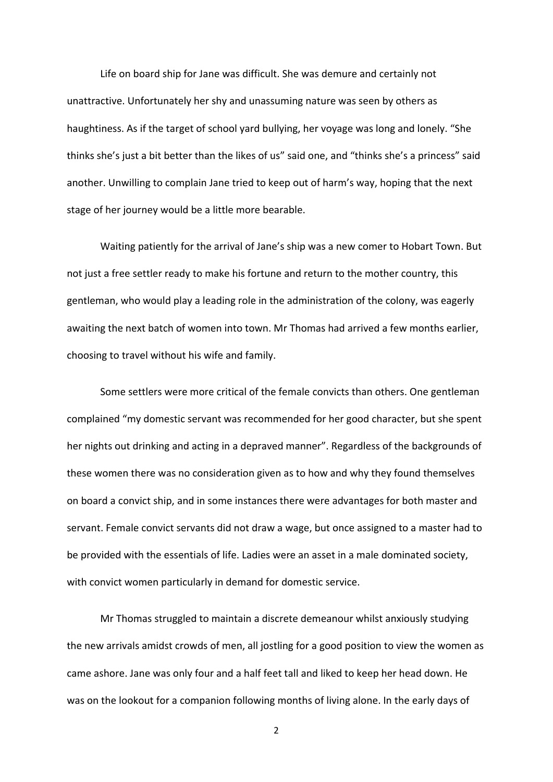Life on board ship for Jane was difficult. She was demure and certainly not unattractive. Unfortunately her shy and unassuming nature was seen by others as haughtiness. As if the target of school yard bullying, her voyage was long and lonely. "She thinks she's just a bit better than the likes of us" said one, and "thinks she's a princess" said another. Unwilling to complain Jane tried to keep out of harm's way, hoping that the next stage of her journey would be a little more bearable.

Waiting patiently for the arrival of Jane's ship was a new comer to Hobart Town. But not just a free settler ready to make his fortune and return to the mother country, this gentleman, who would play a leading role in the administration of the colony, was eagerly awaiting the next batch of women into town. Mr Thomas had arrived a few months earlier, choosing to travel without his wife and family.

Some settlers were more critical of the female convicts than others. One gentleman complained "my domestic servant was recommended for her good character, but she spent her nights out drinking and acting in a depraved manner". Regardless of the backgrounds of these women there was no consideration given as to how and why they found themselves on board a convict ship, and in some instances there were advantages for both master and servant. Female convict servants did not draw a wage, but once assigned to a master had to be provided with the essentials of life. Ladies were an asset in a male dominated society, with convict women particularly in demand for domestic service.

Mr Thomas struggled to maintain a discrete demeanour whilst anxiously studying the new arrivals amidst crowds of men, all jostling for a good position to view the women as came ashore. Jane was only four and a half feet tall and liked to keep her head down. He was on the lookout for a companion following months of living alone. In the early days of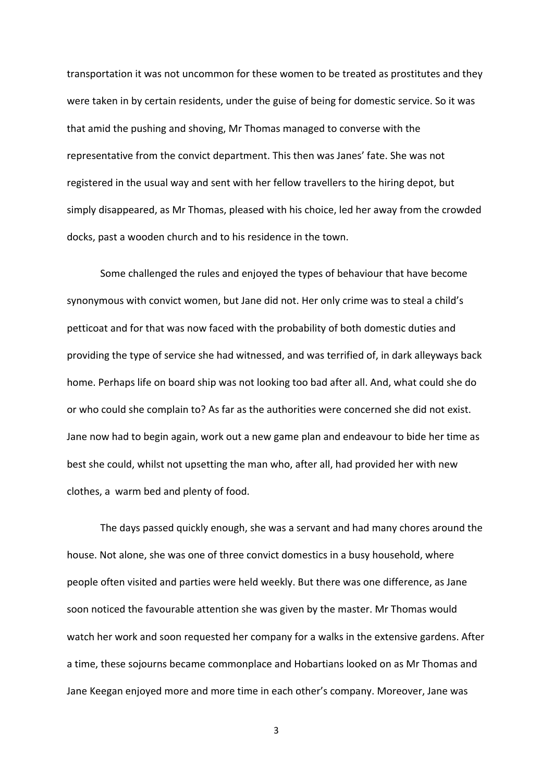transportation it was not uncommon for these women to be treated as prostitutes and they were taken in by certain residents, under the guise of being for domestic service. So it was that amid the pushing and shoving, Mr Thomas managed to converse with the representative from the convict department. This then was Janes' fate. She was not registered in the usual way and sent with her fellow travellers to the hiring depot, but simply disappeared, as Mr Thomas, pleased with his choice, led her away from the crowded docks, past a wooden church and to his residence in the town.

Some challenged the rules and enjoyed the types of behaviour that have become synonymous with convict women, but Jane did not. Her only crime was to steal a child's petticoat and for that was now faced with the probability of both domestic duties and providing the type of service she had witnessed, and was terrified of, in dark alleyways back home. Perhaps life on board ship was not looking too bad after all. And, what could she do or who could she complain to? As far as the authorities were concerned she did not exist. Jane now had to begin again, work out a new game plan and endeavour to bide her time as best she could, whilst not upsetting the man who, after all, had provided her with new clothes, a warm bed and plenty of food.

The days passed quickly enough, she was a servant and had many chores around the house. Not alone, she was one of three convict domestics in a busy household, where people often visited and parties were held weekly. But there was one difference, as Jane soon noticed the favourable attention she was given by the master. Mr Thomas would watch her work and soon requested her company for a walks in the extensive gardens. After a time, these sojourns became commonplace and Hobartians looked on as Mr Thomas and Jane Keegan enjoyed more and more time in each other's company. Moreover, Jane was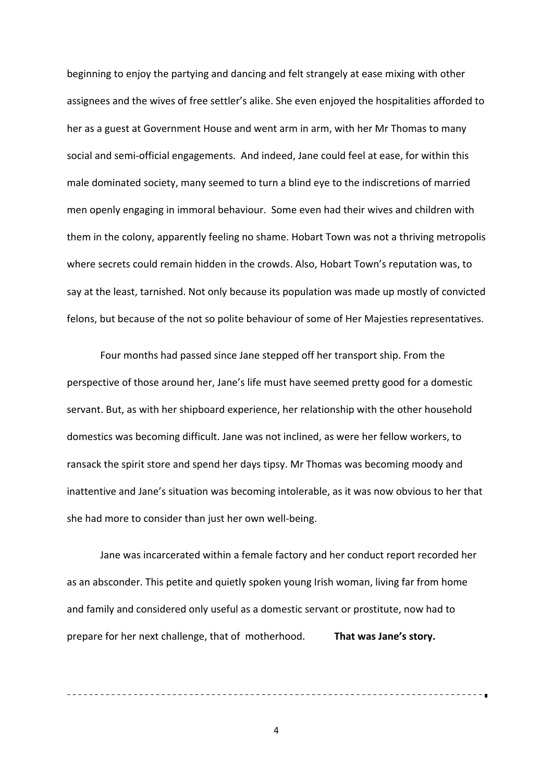beginning to enjoy the partying and dancing and felt strangely at ease mixing with other assignees and the wives of free settler's alike. She even enjoyed the hospitalities afforded to her as a guest at Government House and went arm in arm, with her Mr Thomas to many social and semi‐official engagements. And indeed, Jane could feel at ease, for within this male dominated society, many seemed to turn a blind eye to the indiscretions of married men openly engaging in immoral behaviour. Some even had their wives and children with them in the colony, apparently feeling no shame. Hobart Town was not a thriving metropolis where secrets could remain hidden in the crowds. Also, Hobart Town's reputation was, to say at the least, tarnished. Not only because its population was made up mostly of convicted felons, but because of the not so polite behaviour of some of Her Majesties representatives.

Four months had passed since Jane stepped off her transport ship. From the perspective of those around her, Jane's life must have seemed pretty good for a domestic servant. But, as with her shipboard experience, her relationship with the other household domestics was becoming difficult. Jane was not inclined, as were her fellow workers, to ransack the spirit store and spend her days tipsy. Mr Thomas was becoming moody and inattentive and Jane's situation was becoming intolerable, as it was now obvious to her that she had more to consider than just her own well‐being.

Jane was incarcerated within a female factory and her conduct report recorded her as an absconder. This petite and quietly spoken young Irish woman, living far from home and family and considered only useful as a domestic servant or prostitute, now had to prepare for her next challenge, that of motherhood. **That was Jane's story.**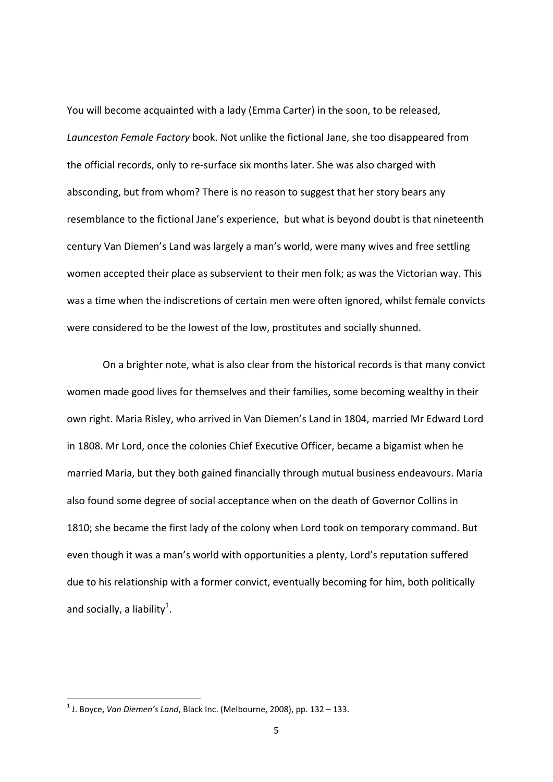You will become acquainted with a lady (Emma Carter) in the soon, to be released, *Launceston Female Factory* book. Not unlike the fictional Jane, she too disappeared from the official records, only to re‐surface six months later. She was also charged with absconding, but from whom? There is no reason to suggest that her story bears any resemblance to the fictional Jane's experience, but what is beyond doubt is that nineteenth century Van Diemen's Land was largely a man's world, were many wives and free settling women accepted their place as subservient to their men folk; as was the Victorian way. This was a time when the indiscretions of certain men were often ignored, whilst female convicts were considered to be the lowest of the low, prostitutes and socially shunned.

On a brighter note, what is also clear from the historical records is that many convict women made good lives for themselves and their families, some becoming wealthy in their own right. Maria Risley, who arrived in Van Diemen's Land in 1804, married Mr Edward Lord in 1808. Mr Lord, once the colonies Chief Executive Officer, became a bigamist when he married Maria, but they both gained financially through mutual business endeavours. Maria also found some degree of social acceptance when on the death of Governor Collins in 1810; she became the first lady of the colony when Lord took on temporary command. But even though it was a man's world with opportunities a plenty, Lord's reputation suffered due to his relationship with a former convict, eventually becoming for him, both politically and socially, a liability<sup>1</sup>.

<sup>1</sup> J. Boyce, *Van Diemen's Land*, Black Inc. (Melbourne, 2008), pp. 132 – 133.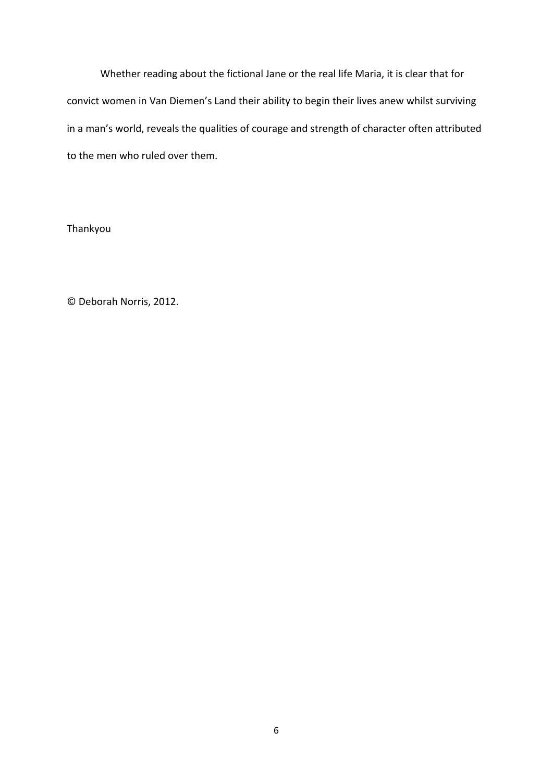Whether reading about the fictional Jane or the real life Maria, it is clear that for convict women in Van Diemen's Land their ability to begin their lives anew whilst surviving in a man's world, reveals the qualities of courage and strength of character often attributed to the men who ruled over them.

Thankyou

© Deborah Norris, 2012.